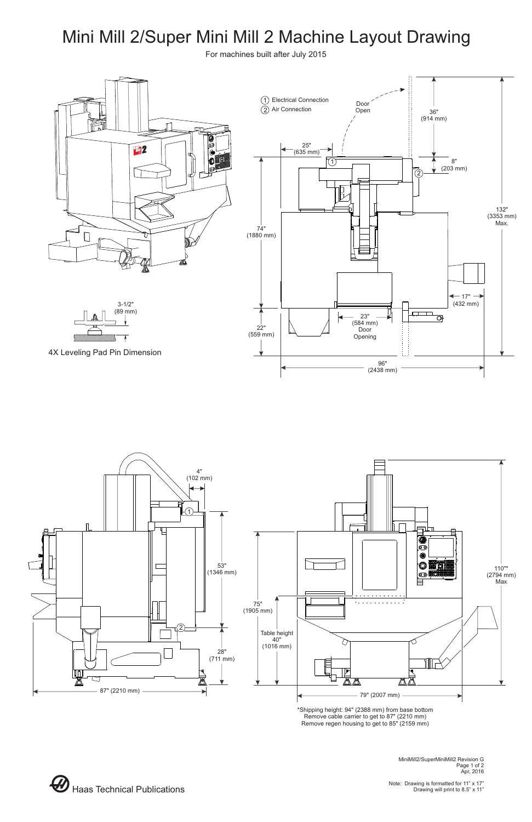MiniMill2/SuperMiniMill2 Revision G Page 1 of 2 Apr, 2016

Note: Drawing is formatted for 11" x 17"



## Mini Mill 2/Super Mini Mill 2 Machine Layout Drawing





For machines built after July 2015

\*Shipping height: 94" (2388 mm) from base bottom Remove cable carrier to get to 87" (2210 mm) Remove regen housing to get to 85" (2159 mm)